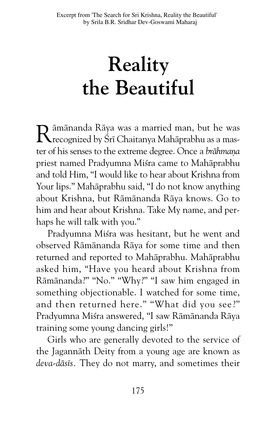# **Reality the Beautiful**

Rāmānanda Rāya was a married man, but he was<br>recognized by Śrī Chaitanya Mahāprabhu as a master of his senses to the extreme degree. Once a *brāhmaṇa* priest named Pradyumna Miśra came to Mahāprabhu and told Him, "I would like to hear about Krishna from Your lips." Mahāprabhu said, "I do not know anything about Krishna, but Rāmānanda Rāya knows. Go to him and hear about Krishna. Take My name, and perhaps he will talk with you."

Pradyumna Misra was hesitant, but he went and observed Rāmānanda Rāya for some time and then returned and reported to Mahāprabhu. Mahāprabhu asked him, "Have you heard about Krishna from Rāmānanda?" "No." "Why?" "I saw him engaged in something objectionable. I watched for some time, and then returned here." "What did you see?" Pradyumna Miśra answered, "I saw Rāmānanda Rāya training some young dancing girls!"

Girls who are generally devoted to the service of the Jagannāth Deity from a young age are known as deva-dāsīs. They do not marry, and sometimes their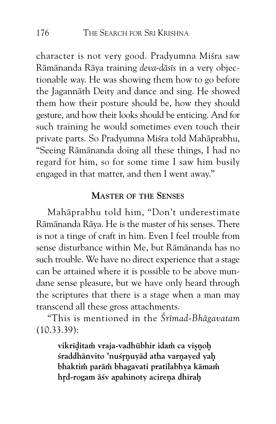character is not very good. Pradyumna Miśra saw Rāmānanda Rāya training *deva-dāsīs* in a very objectionable way. He was showing them how to go before the Jagannāth Deity and dance and sing. He showed them how their posture should be, how they should gesture, and how their looks should be enticing. And for such training he would sometimes even touch their private parts. So Pradyumna Miśra told Mahāprabhu, "Seeing Rāmānanda doing all these things, I had no regard for him, so for some time I saw him busily engaged in that matter, and then I went away."

#### **MASTER OF THE SENSES**

Mahāprabhu told him, "Don't underestimate Rāmānanda Rāya. He is the master of his senses. There is not a tinge of craft in him. Even I feel trouble from sense disturbance within Me, but Rāmānanda has no such trouble. We have no direct experience that a stage can be attained where it is possible to be above mundane sense pleasure, but we have only heard through the scriptures that there is a stage when a man may transcend all these gross attachments.

"This is mentioned in the *ßrÈmad-BhÅgavatam* (10.33.39):

> vikrīditam vraja-vadhūbhir idam ca visnoh śraddhānvito 'nuśrnuyād atha varnayed yah **bhaktim parām bhagavati pratilabhya kāmam** hrd-rogam āśv apahinoty acireņa dhīraḥ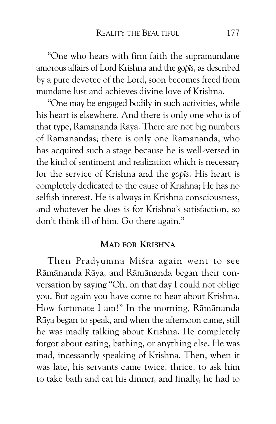"One who hears with firm faith the supramundane amorous affairs of Lord Krishna and the *gopÈs*, as described by a pure devotee of the Lord, soon becomes freed from mundane lust and achieves divine love of Krishna.

"One may be engaged bodily in such activities, while his heart is elsewhere. And there is only one who is of that type, Rāmānanda Rāya. There are not big numbers of Rāmānandas; there is only one Rāmānanda, who has acquired such a stage because he is well-versed in the kind of sentiment and realization which is necessary for the service of Krishna and the *gopts*. His heart is completely dedicated to the cause of Krishna; He has no selfish interest. He is always in Krishna consciousness, and whatever he does is for Krishna's satisfaction, so don't think ill of him. Go there again."

#### **MAD FOR KRISHNA**

Then Pradyumna Misra again went to see Rāmānanda Rāya, and Rāmānanda began their conversation by saying "Oh, on that day I could not oblige you. But again you have come to hear about Krishna. How fortunate I am!" In the morning, Rāmānanda Rāya began to speak, and when the afternoon came, still he was madly talking about Krishna. He completely forgot about eating, bathing, or anything else. He was mad, incessantly speaking of Krishna. Then, when it was late, his servants came twice, thrice, to ask him to take bath and eat his dinner, and finally, he had to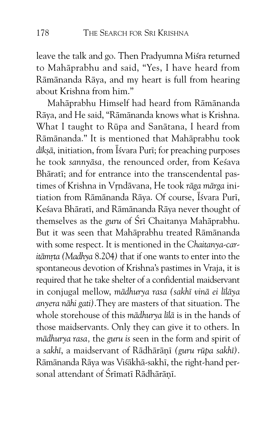leave the talk and go. Then Pradyumna Misra returned to Mahāprabhu and said, "Yes, I have heard from Rāmānanda Rāya, and my heart is full from hearing about Krishna from him."

Mahāprabhu Himself had heard from Rāmānanda Rāya, and He said, "Rāmānanda knows what is Krishna. What I taught to Rūpa and Sanātana, I heard from Rāmānanda." It is mentioned that Mahāprabhu took dīksā, initiation, from Īśvara Purī; for preaching purposes he took *sannyāsa*, the renounced order, from Kesava Bhāratī; and for entrance into the transcendental pastimes of Krishna in Vrndāvana, He took rāga mārga initiation from Rāmānanda Rāya. Of course, Īśvara Purī, Kešava Bhāratī, and Rāmānanda Rāya never thought of themselves as the *guru* of Śrī Chaitanya Mahāprabhu. But it was seen that Mahāprabhu treated Rāmānanda with some respect. It is mentioned in the *Chaitanya-caritāmrta (Madhya 8.204)* that if one wants to enter into the spontaneous devotion of Krishna's pastimes in Vraja, it is required that he take shelter of a confidential maidservant in conjugal mellow, *mādhurya rasa (sakhī vinā ei līlāya anyera nÅhi gati)*.They are masters of that situation. The whole storehouse of this *mādhurya līlā* is in the hands of those maidservants. Only they can give it to others. In mādhurya rasa, the *guru* is seen in the form and spirit of a sakhī, a maidservant of Rādhārānī (guru rūpa sakhī). Rāmānanda Rāya was Visākhā-sakhī, the right-hand personal attendant of Śrīmatī Rādhārānī.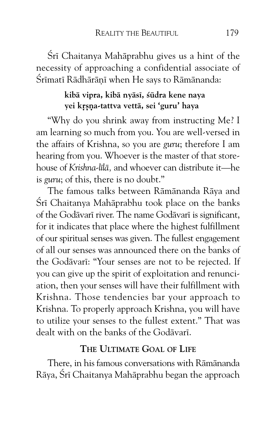Śrī Chaitanya Mahāprabhu gives us a hint of the necessity of approaching a confidential associate of Śrīmatī Rādhārānī when He says to Rāmānanda:

#### **kibÅ vipra, kibÅ nyÅsÈ, ÍËdra kene naya** yei krsna-tattva vettā, sei 'guru' haya

"Why do you shrink away from instructing Me? I am learning so much from you. You are well-versed in the affairs of Krishna, so you are *guru*; therefore I am hearing from you. Whoever is the master of that storehouse of *Krishna-lÈlÅ,* and whoever can distribute it—he is *guru*; of this, there is no doubt."

The famous talks between Rāmānanda Rāya and Śrī Chaitanya Mahāprabhu took place on the banks of the Godāvarī river. The name Godāvarī is significant, for it indicates that place where the highest fulfillment of our spiritual senses was given. The fullest engagement of all our senses was announced there on the banks of the Godāvarī: "Your senses are not to be rejected. If you can give up the spirit of exploitation and renunciation, then your senses will have their fulfillment with Krishna. Those tendencies bar your approach to Krishna. To properly approach Krishna, you will have to utilize your senses to the fullest extent." That was dealt with on the banks of the Godāvarī.

## **THE ULTIMATE GOAL OF LIFE**

There, in his famous conversations with Rāmānanda Rāya, Šrī Chaitanya Mahāprabhu began the approach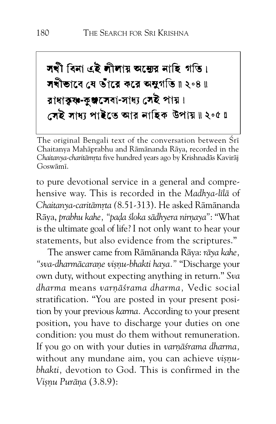# সখী বিনা এই লীলায় অন্তের নাহি গতি। সখীভাবে যে ওঁারে করে অন্থগতি॥ ২০৪॥ রাধাক্বৰ-কুঞ্জসেবা-সাধ্য সেই পায়। সেই সাধ্য পাইতে আর নাহিক উপায়॥২০৫॥

The original Bengali text of the conversation between Srī Chaitanya Mahāprabhu and Rāmānanda Rāya, recorded in the Chaitanya-charitāmrta five hundred years ago by Krishnadās Kavirāj Goswämī.

to pure devotional service in a general and comprehensive way. This is recorded in the *Madhya-lÈlÅ* of Chaitanya-caritāmrta (8.51-313). He asked Rāmānanda Rāya, *prabhu kahe, "pada śloka sādhyera nirnaya*": "What is the ultimate goal of life? I not only want to hear your statements, but also evidence from the scriptures."

The answer came from Rāmānanda Rāya: *rāya kahe*, *"sva-dharmÅcaraˆe vi›ˆu-bhakti haya."* "Discharge your own duty, without expecting anything in return." *Sva dharma* means *varˆÅÍrama dharma,* Vedic social stratification. "You are posted in your present position by your previous *karma.* According to your present position, you have to discharge your duties on one condition: you must do them without remuneration. If you go on with your duties in *varnā frama dharma*, without any mundane aim, you can achieve *visnubhakti,* devotion to God. This is confirmed in the *Vi›ˆu Purňa* (3.8.9):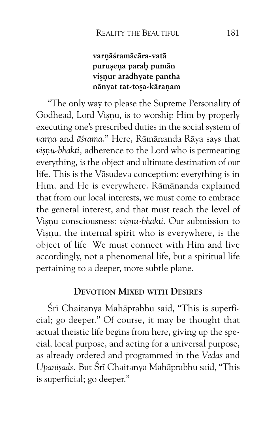#### varnāśramācāra-vatā purusena parah pumān visnur ārādhyate panthā nānyat tat-toṣa-kāraṇam

"The only way to please the Supreme Personality of Godhead, Lord Visnu, is to worship Him by properly executing one's prescribed duties in the social system of varņa and āśrama." Here, Rāmānanda Rāya says that *visnu-bhakti, adherence to the Lord who is permeating* everything, is the object and ultimate destination of our life. This is the Vāsudeva conception: everything is in Him, and He is everywhere. Rāmānanda explained that from our local interests, we must come to embrace the general interest, and that must reach the level of Visnu consciousness: *visnu-bhakti*. Our submission to Visnu, the internal spirit who is everywhere, is the object of life. We must connect with Him and live accordingly, not a phenomenal life, but a spiritual life pertaining to a deeper, more subtle plane.

#### **DEVOTION MIXED WITH DESIRES**

Śrī Chaitanya Mahāprabhu said, "This is superficial; go deeper." Of course, it may be thought that actual theistic life begins from here, giving up the special, local purpose, and acting for a universal purpose, as already ordered and programmed in the *Vedas* and Upanisads. But Śrī Chaitanya Mahāprabhu said, "This is superficial; go deeper."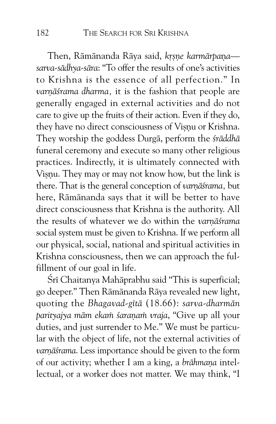Then, Rāmānanda Rāya said, *krsne karmārpana sarva-sÅdhya-sÅra*: "To offer the results of one's activities to Krishna is the essence of all perfection." In varnāśrama dharma, it is the fashion that people are generally engaged in external activities and do not care to give up the fruits of their action. Even if they do, they have no direct consciousness of Visnu or Krishna. They worship the goddess Durga, perform the *śrāddhā* funeral ceremony and execute so many other religious practices. Indirectly, it is ultimately connected with Visnu. They may or may not know how, but the link is there. That is the general conception of *varnāśrama*, but here, Rāmānanda says that it will be better to have direct consciousness that Krishna is the authority. All the results of whatever we do within the *varnāśrama* social system must be given to Krishna. If we perform all our physical, social, national and spiritual activities in Krishna consciousness, then we can approach the fulfillment of our goal in life.

Śrī Chaitanya Mahāprabhu said "This is superficial; go deeper." Then Rāmānanda Rāya revealed new light, quoting the *Bhagavad-gītā* (18.66): *sarva-dharmān parityajya mÅm eka˜ Íaraˆa˜ vraja*, "Give up all your duties, and just surrender to Me." We must be particular with the object of life, not the external activities of varnāśrama. Less importance should be given to the form of our activity; whether I am a king, a *brāhmana* intellectual, or a worker does not matter. We may think, "I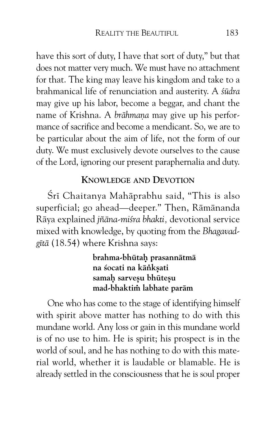have this sort of duty, I have that sort of duty," but that does not matter very much. We must have no attachment for that. The king may leave his kingdom and take to a brahmanical life of renunciation and austerity. A *ÍËdra* may give up his labor, become a beggar, and chant the name of Krishna. A *brāhmana* may give up his performance of sacrifice and become a mendicant. So, we are to be particular about the aim of life, not the form of our duty. We must exclusively devote ourselves to the cause of the Lord, ignoring our present paraphernalia and duty.

#### **KNOWLEDGE AND DEVOTION**

Śrī Chaitanya Mahāprabhu said, "This is also superficial; go ahead—deeper." Then, Rāmānanda Rāya explained *jñāna-miśra bhakti*, devotional service mixed with knowledge, by quoting from the *Bhagavad*gītā (18.54) where Krishna says:

> brahma-bhūtah prasannātmā **na Íocati na kÅ⁄k›ati** samah sarveşu bhūteşu mad-bhaktim labhate parām

One who has come to the stage of identifying himself with spirit above matter has nothing to do with this mundane world. Any loss or gain in this mundane world is of no use to him. He is spirit; his prospect is in the world of soul, and he has nothing to do with this material world, whether it is laudable or blamable. He is already settled in the consciousness that he is soul proper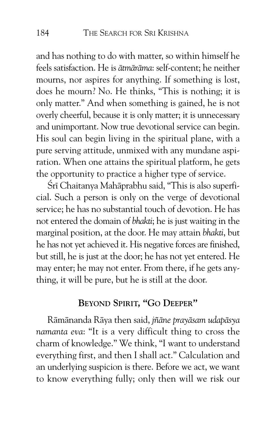and has nothing to do with matter, so within himself he feels satisfaction. He is *ātmārāma*: self-content: he neither mourns, nor aspires for anything. If something is lost, does he mourn? No. He thinks, "This is nothing; it is only matter." And when something is gained, he is not overly cheerful, because it is only matter; it is unnecessary and unimportant. Now true devotional service can begin. His soul can begin living in the spiritual plane, with a pure serving attitude, unmixed with any mundane aspiration. When one attains the spiritual platform, he gets the opportunity to practice a higher type of service.

Śrī Chaitanya Mahāprabhu said, "This is also superficial. Such a person is only on the verge of devotional service; he has no substantial touch of devotion. He has not entered the domain of *bhakti*; he is just waiting in the marginal position, at the door. He may attain *bhakti*, but he has not yet achieved it. His negative forces are finished, but still, he is just at the door; he has not yet entered. He may enter; he may not enter. From there, if he gets anything, it will be pure, but he is still at the door.

# **BEYOND SPIRIT, "GO DEEPER''**

Rāmānanda Rāya then said, *jñāne prayāsam udapāsya namanta eva*: "It is a very difficult thing to cross the charm of knowledge." We think, "I want to understand everything first, and then I shall act." Calculation and an underlying suspicion is there. Before we act, we want to know everything fully; only then will we risk our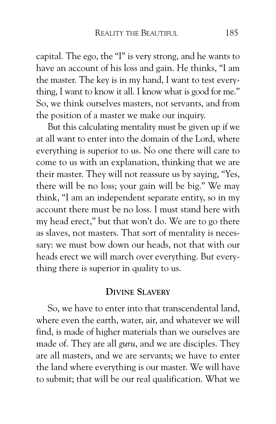capital. The ego, the "I" is very strong, and he wants to have an account of his loss and gain. He thinks, "I am the master. The key is in my hand, I want to test everything, I want to know it all. I know what is good for me." So, we think ourselves masters, not servants, and from the position of a master we make our inquiry.

But this calculating mentality must be given up if we at all want to enter into the domain of the Lord, where everything is superior to us. No one there will care to come to us with an explanation, thinking that we are their master. They will not reassure us by saying, "Yes, there will be no loss; your gain will be big." We may think, "I am an independent separate entity, so in my account there must be no loss. I must stand here with my head erect," but that won't do. We are to go there as slaves, not masters. That sort of mentality is necessary: we must bow down our heads, not that with our heads erect we will march over everything. But everything there is superior in quality to us.

#### **DIVINE SLAVERY**

So, we have to enter into that transcendental land, where even the earth, water, air, and whatever we will find, is made of higher materials than we ourselves are made of. They are all *guru*, and we are disciples. They are all masters, and we are servants; we have to enter the land where everything is our master. We will have to submit; that will be our real qualification. What we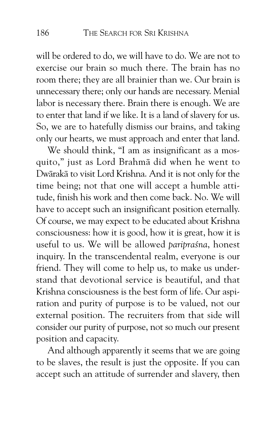will be ordered to do, we will have to do. We are not to exercise our brain so much there. The brain has no room there; they are all brainier than we. Our brain is unnecessary there; only our hands are necessary. Menial labor is necessary there. Brain there is enough. We are to enter that land if we like. It is a land of slavery for us. So, we are to hatefully dismiss our brains, and taking only our hearts, we must approach and enter that land.

We should think, "I am as insignificant as a mosquito," just as Lord Brahmā did when he went to Dwārakā to visit Lord Krishna. And it is not only for the time being; not that one will accept a humble attitude, finish his work and then come back. No. We will have to accept such an insignificant position eternally. Of course, we may expect to be educated about Krishna consciousness: how it is good, how it is great, how it is useful to us. We will be allowed *paripraśna*, honest inquiry. In the transcendental realm, everyone is our friend. They will come to help us, to make us understand that devotional service is beautiful, and that Krishna consciousness is the best form of life. Our aspiration and purity of purpose is to be valued, not our external position. The recruiters from that side will consider our purity of purpose, not so much our present position and capacity.

And although apparently it seems that we are going to be slaves, the result is just the opposite. If you can accept such an attitude of surrender and slavery, then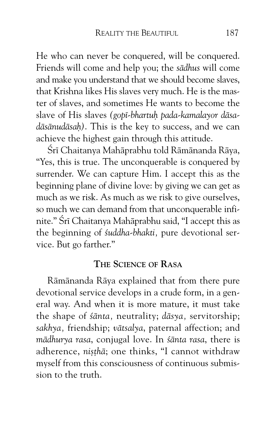He who can never be conquered, will be conquered. Friends will come and help you; the *s* $ādhus$  will come and make you understand that we should become slaves, that Krishna likes His slaves very much. He is the master of slaves, and sometimes He wants to become the slave of His slaves (gopī-bhartuh pada-kamalayor dāsadāsānudāsah). This is the key to success, and we can achieve the highest gain through this attitude.

Śrī Chaitanya Mahāprabhu told Rāmānanda Rāya, "Yes, this is true. The unconquerable is conquered by surrender. We can capture Him. I accept this as the beginning plane of divine love: by giving we can get as much as we risk. As much as we risk to give ourselves, so much we can demand from that unconquerable infinite." Śrī Chaitanya Mahāprabhu said, "I accept this as the beginning of *Íuddha-bhakti,* pure devotional service. But go farther."

#### **THE SCIENCE OF RASA**

Rāmānanda Rāya explained that from there pure devotional service develops in a crude form, in a general way. And when it is more mature, it must take the shape of *śānta*, neutrality; *dāsya*, servitorship; sakhya, friendship; *vātsalya*, paternal affection; and *mÅdhurya rasa*, conjugal love. In *ÍÅnta rasa*, there is adherence, *ni*sthā; one thinks, "I cannot withdraw myself from this consciousness of continuous submission to the truth.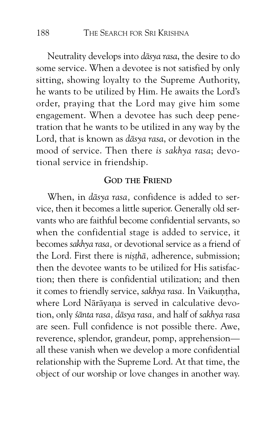Neutrality develops into *dāsya rasa*, the desire to do some service. When a devotee is not satisfied by only sitting, showing loyalty to the Supreme Authority, he wants to be utilized by Him. He awaits the Lord's order, praying that the Lord may give him some engagement. When a devotee has such deep penetration that he wants to be utilized in any way by the Lord, that is known as *dāsya rasa*, or devotion in the mood of service. Then there *is sakhya rasa*; devotional service in friendship.

#### **GOD THE FRIEND**

When, in *dāsya rasa*, confidence is added to service, then it becomes a little superior. Generally old servants who are faithful become confidential servants, so when the confidential stage is added to service, it becomes *sakhya rasa,* or devotional service as a friend of the Lord. First there is *nisthā*, adherence, submission; then the devotee wants to be utilized for His satisfaction; then there is confidential utilization; and then it comes to friendly service, *sakhya rasa*. In Vaikuntha, where Lord Nārāyana is served in calculative devotion, only *ÍÅnta rasa, dÅsya rasa,* and half of *sakhya rasa* are seen. Full confidence is not possible there. Awe, reverence, splendor, grandeur, pomp, apprehension all these vanish when we develop a more confidential relationship with the Supreme Lord. At that time, the object of our worship or love changes in another way.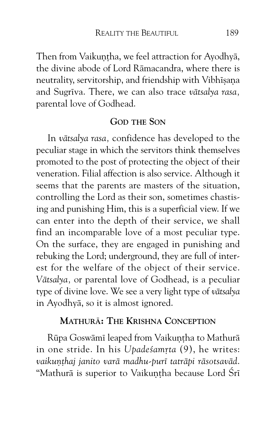Then from Vaikuntha, we feel attraction for Ayodhyā, the divine abode of Lord Rāmacandra, where there is neutrality, servitorship, and friendship with Vibhīsana and Sugrīva. There, we can also trace *vātsalya rasa*, parental love of Godhead.

#### **GOD THE SON**

In *vātsalya rasa*, confidence has developed to the peculiar stage in which the servitors think themselves promoted to the post of protecting the object of their veneration. Filial affection is also service. Although it seems that the parents are masters of the situation, controlling the Lord as their son, sometimes chastising and punishing Him, this is a superficial view. If we can enter into the depth of their service, we shall find an incomparable love of a most peculiar type. On the surface, they are engaged in punishing and rebuking the Lord; underground, they are full of interest for the welfare of the object of their service. Vātsalya, or parental love of Godhead, is a peculiar type of divine love. We see a very light type of *v*ātsalya in Ayodhyā, so it is almost ignored.

#### **MATHURå: THE KRISHNA CONCEPTION**

Rūpa Goswāmī leaped from Vaikuntha to Mathurā in one stride. In his *Upadesamrta* (9), he writes: vaikunthaj janito varā madhu-purī tatrāpi rāsotsavād. "Mathurā is superior to Vaikuntha because Lord Śrī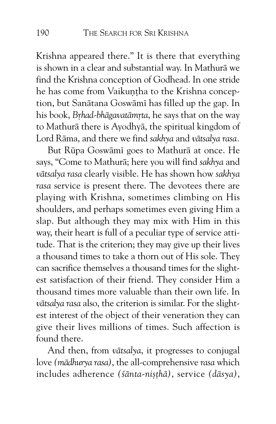Krishna appeared there." It is there that everything is shown in a clear and substantial way. In Mathurā we find the Krishna conception of Godhead. In one stride he has come from Vaikuntha to the Krishna conception, but Sanātana Goswāmī has filled up the gap. In his book, *Brhad-bhāgavatāmrta*, he says that on the way to Mathurā there is Ayodhyā, the spiritual kingdom of Lord Rāma, and there we find *sakhya* and *vātsalya rasa.* 

But Rūpa Goswāmī goes to Mathurā at once. He says, "Come to Mathurā; here you will find *sakhya* and *vÅtsalya rasa* clearly visible. He has shown how *sakhya rasa* service is present there. The devotees there are playing with Krishna, sometimes climbing on His shoulders, and perhaps sometimes even giving Him a slap. But although they may mix with Him in this way, their heart is full of a peculiar type of service attitude. That is the criterion; they may give up their lives a thousand times to take a thorn out of His sole. They can sacrifice themselves a thousand times for the slightest satisfaction of their friend. They consider Him a thousand times more valuable than their own life. In vātsalya rasa also, the criterion is similar. For the slightest interest of the object of their veneration they can give their lives millions of times. Such affection is found there.

And then, from *vātsalya*, it progresses to conjugal love (mādhurya rasa), the all-comprehensive rasa which includes adherence *(śānta-niṣṭhā)*, service *(dāsya)*,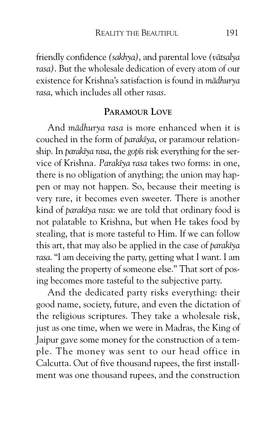friendly confidence *(sakhya)*, and parental love *(vātsalya rasa)*. But the wholesale dedication of every atom of our existence for Krishna's satisfaction is found in *mādhurva rasa*, which includes all other *rasas*.

# **PARAMOUR LOVE**

And *mādhurya rasa* is more enhanced when it is couched in the form of *parak* $\bar{v}$ *a*, or paramour relationship. In *parakīya rasa*, the gopīs risk everything for the service of Krishna*. ParakÈya rasa* takes two forms: in one, there is no obligation of anything; the union may happen or may not happen. So, because their meeting is very rare, it becomes even sweeter. There is another kind of *parakÈya rasa*: we are told that ordinary food is not palatable to Krishna, but when He takes food by stealing, that is more tasteful to Him. If we can follow this art, that may also be applied in the case of *parak* $\bar{v}$ *ya rasa*. "I am deceiving the party, getting what I want. I am stealing the property of someone else." That sort of posing becomes more tasteful to the subjective party.

And the dedicated party risks everything: their good name, society, future, and even the dictation of the religious scriptures. They take a wholesale risk, just as one time, when we were in Madras, the King of Jaipur gave some money for the construction of a temple. The money was sent to our head office in Calcutta. Out of five thousand rupees, the first installment was one thousand rupees, and the construction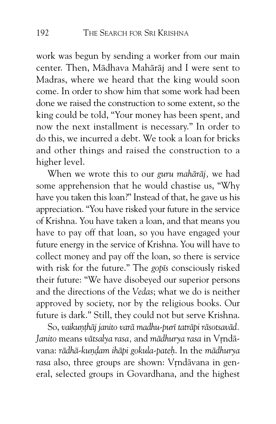work was begun by sending a worker from our main center. Then, Mādhava Mahārāj and I were sent to Madras, where we heard that the king would soon come. In order to show him that some work had been done we raised the construction to some extent, so the king could be told, "Your money has been spent, and now the next installment is necessary." In order to do this, we incurred a debt. We took a loan for bricks and other things and raised the construction to a higher level.

When we wrote this to our *guru mahārāj*, we had some apprehension that he would chastise us, "Why have you taken this loan?" Instead of that, he gave us his appreciation. "You have risked your future in the service of Krishna. You have taken a loan, and that means you have to pay off that loan, so you have engaged your future energy in the service of Krishna. You will have to collect money and pay off the loan, so there is service with risk for the future." The *gop*<sup>Is</sup> consciously risked their future: "We have disobeyed our superior persons and the directions of the *Vedas*; what we do is neither approved by society, nor by the religious books. Our future is dark." Still, they could not but serve Krishna.

So, vaikunthāj janito varā madhu-purī tatrāpi rāsotsavād. *Janito* means *vātsalya rasa*, and *mādhurya rasa* in Vrndāvana: *rādhā-kundam ihāpi gokula-pateh*. In the *mādhurya* rasa also, three groups are shown: Vrndāvana in general, selected groups in Govardhana, and the highest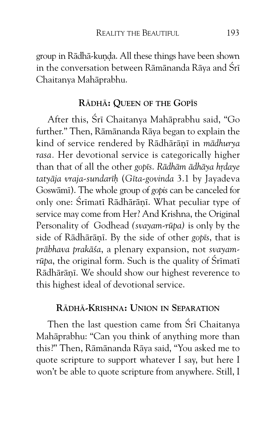group in Rādhā-kunda. All these things have been shown in the conversation between Rāmānanda Rāya and Śrī Chaitanya Mahāprabhu.

#### **RåDHå: QUEEN OF THE GOP^S**

After this, Śrī Chaitanya Mahāprabhu said, "Go further." Then, Rāmānanda Rāya began to explain the kind of service rendered by Rādhārānī in *mādhurya rasa.* Her devotional service is categorically higher than that of all the other *gopis*. *Rādhām ādhāya hrdaye tatyÅja vraja-sundarÈÓ* (*GÈta-govinda* 3.1 by Jayadeva Goswāmī). The whole group of *gopis* can be canceled for only one: Śrīmatī Rādhārānī. What peculiar type of service may come from Her? And Krishna, the Original Personality of Godhead *(svayam-rūpa)* is only by the side of Rādhārānī. By the side of other *gopīs*, that is *prÅbhava prakÅÍa*, a plenary expansion, not *svayam* $r\bar{u}p$ *a*, the original form. Such is the quality of  $\tilde{S}$ rīmatī Rādhārānī. We should show our highest reverence to this highest ideal of devotional service.

## **RåDHå-KRISHNA: UNION IN SEPARATION**

Then the last question came from Śrī Chaitanya Mahāprabhu: "Can you think of anything more than this?" Then, Rāmānanda Rāya said, "You asked me to quote scripture to support whatever I say, but here I won't be able to quote scripture from anywhere. Still, I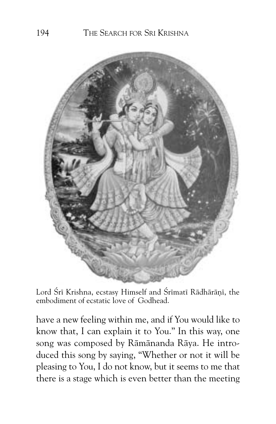

Lord Śrī Krishna, ecstasy Himself and Śrīmatī Rādhārānī, the embodiment of ecstatic love of Godhead.

have a new feeling within me, and if You would like to know that, I can explain it to You." In this way, one song was composed by Rāmānanda Rāya. He introduced this song by saying, "Whether or not it will be pleasing to You, I do not know, but it seems to me that there is a stage which is even better than the meeting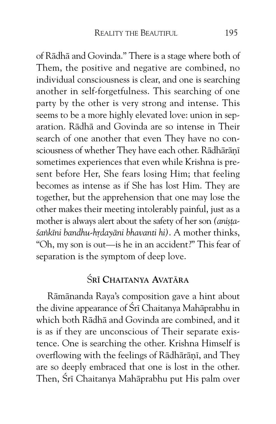of Rādhā and Govinda." There is a stage where both of Them, the positive and negative are combined, no individual consciousness is clear, and one is searching another in self-forgetfulness. This searching of one party by the other is very strong and intense. This seems to be a more highly elevated love: union in separation. Rādhā and Govinda are so intense in Their search of one another that even They have no consciousness of whether They have each other. Rādhārānī sometimes experiences that even while Krishna is present before Her, She fears losing Him; that feeling becomes as intense as if She has lost Him. They are together, but the apprehension that one may lose the other makes their meeting intolerably painful, just as a mother is always alert about the safety of her son (anista-*Sankīni bandhu-hrdayāni bhavanti hi)*. A mother thinks, "Oh, my son is out—is he in an accident?" This fear of separation is the symptom of deep love.

# ß**R^ CHAITANYA AVATåRA**

Rāmānanda Raya's composition gave a hint about the divine appearance of Śrī Chaitanya Mahāprabhu in which both Rādhā and Govinda are combined, and it is as if they are unconscious of Their separate existence. One is searching the other. Krishna Himself is overflowing with the feelings of Rādhārānī, and They are so deeply embraced that one is lost in the other. Then, Śrī Chaitanya Mahāprabhu put His palm over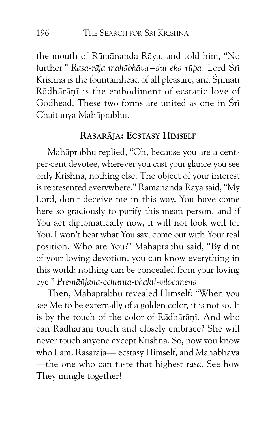the mouth of Rāmānanda Rāya, and told him, "No further." *Rasa-rāja mahābhāva–dui eka rūpa. Lord* Śrī Krishna is the fountainhead of all pleasure, and Śrimatī Rādhārānī is the embodiment of ecstatic love of Godhead. These two forms are united as one in Śrī Chaitanya Mahāprabhu.

#### **RASARåJA: ECSTASY HIMSELF**

Mahāprabhu replied, "Oh, because you are a centper-cent devotee, wherever you cast your glance you see only Krishna, nothing else. The object of your interest is represented everywhere." Rāmānanda Rāya said, "My Lord, don't deceive me in this way. You have come here so graciously to purify this mean person, and if You act diplomatically now, it will not look well for You. I won't hear what You say; come out with Your real position. Who are You?" Mahāprabhu said, "By dint of your loving devotion, you can know everything in this world; nothing can be concealed from your loving eye." *PremÅñjana-cchurita-bhakti-vilocanena*.

Then, Mahāprabhu revealed Himself: "When you see Me to be externally of a golden color, it is not so. It is by the touch of the color of Rādhārānī. And who can Rādhārānī touch and closely embrace? She will never touch anyone except Krishna. So, now you know who I am: Rasarāja— ecstasy Himself, and Mahābhāva —the one who can taste that highest *rasa*. See how They mingle together!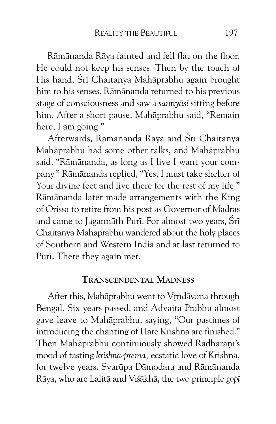Rāmānanda Rāya fainted and fell flat on the floor. He could not keep his senses. Then by the touch of His hand, Śrī Chaitanya Mahāprabhu again brought him to his senses. Rāmānanda returned to his previous stage of consciousness and saw a *sannyāsī* sitting before him. After a short pause, Mahāprabhu said, "Remain here, I am going."

Afterwards, Rāmānanda Rāya and Śrī Chaitanya Mahāprabhu had some other talks, and Mahāprabhu said, "Rāmānanda, as long as I live I want your company." Rāmānanda replied, "Yes, I must take shelter of Your divine feet and live there for the rest of my life." Rāmānanda later made arrangements with the King of Orissa to retire from his post as Governor of Madras and came to Jagannāth Purī. For almost two years, Śrī Chaitanya Mahāprabhu wandered about the holy places of Southern and Western India and at last returned to Purī. There they again met.

#### **TRANSCENDENTAL MADNESS**

After this, Mahāprabhu went to Vrndāvana through Bengal. Six years passed, and Advaita Prabhu almost gave leave to Mahāprabhu, saying, "Our pastimes of introducing the chanting of Hare Krishna are finished." Then Mahāprabhu continuously showed Rādhārānī's mood of tasting *krishna-prema,* ecstatic love of Krishna, for twelve years. Svarūpa Dāmodara and Rāmānanda Rāya, who are Lalitā and Viśākhā, the two principle *gop*ī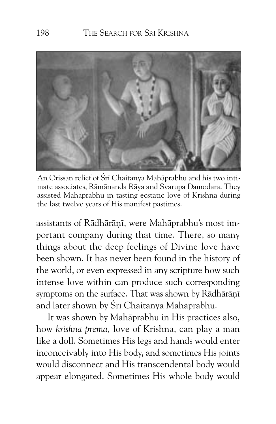

An Orissan relief of Śrī Chaitanya Mahāprabhu and his two intimate associates, Rāmānanda Rāya and Svarupa Damodara. They assisted Mahāprabhu in tasting ecstatic love of Krishna during the last twelve years of His manifest pastimes.

assistants of Rādhārānī, were Mahāprabhu's most important company during that time. There, so many things about the deep feelings of Divine love have been shown. It has never been found in the history of the world, or even expressed in any scripture how such intense love within can produce such corresponding symptoms on the surface. That was shown by Rādhārānī and later shown by Śrī Chaitanya Mahāprabhu.

It was shown by Mahāprabhu in His practices also, how *krishna prema*, love of Krishna, can play a man like a doll. Sometimes His legs and hands would enter inconceivably into His body, and sometimes His joints would disconnect and His transcendental body would appear elongated. Sometimes His whole body would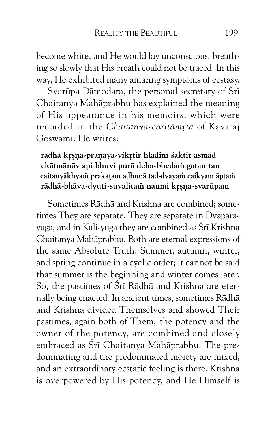become white, and He would lay unconscious, breathing so slowly that His breath could not be traced. In this way, He exhibited many amazing symptoms of ecstasy.

Svarūpa Dāmodara, the personal secretary of Śrī Chaitanya Mahāprabhu has explained the meaning of His appearance in his memoirs, which were recorded in the *Chaitanya-caritāmrta* of Kavirāj Goswāmī. He writes:

#### rādhā krsna-praņaya-vikrtir hlādinī śaktir asmād ekātmānāv api bhuvi purā deha-bhedam gatau tau caitanyākhyam prakatam adhunā tad-dvayam caikyam āptam rādhā-bhāva-dyuti-suvalitam naumi krsna-svarūpam

Sometimes Rādhā and Krishna are combined; sometimes They are separate. They are separate in Dvāparayuga, and in Kali-yuga they are combined as Śrī Krishna Chaitanya Mahāprabhu. Both are eternal expressions of the same Absolute Truth. Summer, autumn, winter, and spring continue in a cyclic order; it cannot be said that summer is the beginning and winter comes later. So, the pastimes of Śrī Rādhā and Krishna are eternally being enacted. In ancient times, sometimes Rādhā and Krishna divided Themselves and showed Their pastimes; again both of Them, the potency and the owner of the potency, are combined and closely embraced as Śrī Chaitanya Mahāprabhu. The predominating and the predominated moiety are mixed, and an extraordinary ecstatic feeling is there. Krishna is overpowered by His potency, and He Himself is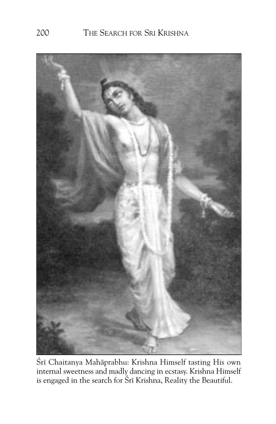

Śrī Chaitanya Mahāprabhu: Krishna Himself tasting His own internal sweetness and madly dancing in ecstasy. Krishna Himself is engaged in the search for Srī Krishna, Reality the Beautiful.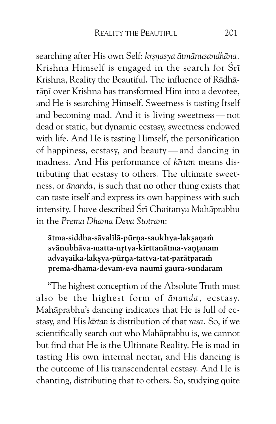searching after His own Self: *krsnasya ātmānusandhāna*. Krishna Himself is engaged in the search for Śrī Krishna, Reality the Beautiful. The influence of Rādhārānī over Krishna has transformed Him into a devotee, and He is searching Himself. Sweetness is tasting Itself and becoming mad. And it is living sweetness — not dead or static, but dynamic ecstasy, sweetness endowed with life. And He is tasting Himself, the personification of happiness, ecstasy, and beauty — and dancing in madness. And His performance of *kÈrtan* means distributing that ecstasy to others. The ultimate sweetness, or *Ånanda,* is such that no other thing exists that can taste itself and express its own happiness with such intensity. I have described Śrī Chaitanya Mahāprabhu in the *Prema Dhama Deva Stotram*:

ātma-siddha-sāvalīlā-pūrna-saukhya-laksanam svānubhāva-matta-nrtya-kīrttanātma-vaņțanam **advayaika-lak›ya-pËrˆa-tattva-tat-parÅtpara˜** prema-dhāma-devam-eva naumi gaura-sundaram

"The highest conception of the Absolute Truth must also be the highest form of *ānanda*, ecstasy. Mahāprabhu's dancing indicates that He is full of ecstasy, and His *kÈrtan is* distribution of that *rasa.* So, if we scientifically search out who Mahāprabhu is, we cannot but find that He is the Ultimate Reality. He is mad in tasting His own internal nectar, and His dancing is the outcome of His transcendental ecstasy. And He is chanting, distributing that to others. So, studying quite